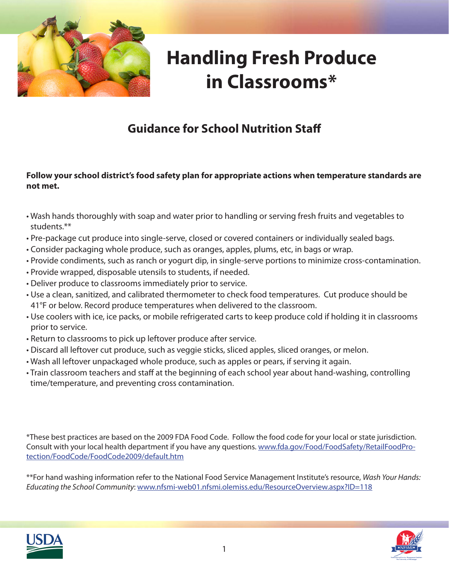

## **Handling Fresh Produce in Classrooms\***

## **Guidance for School Nutrition Staff**

#### **Follow your school district's food safety plan for appropriate actions when temperature standards are not met.**

- Wash hands thoroughly with soap and water prior to handling or serving fresh fruits and vegetables to students.\*\*
- Pre-package cut produce into single-serve, closed or covered containers or individually sealed bags.
- Consider packaging whole produce, such as oranges, apples, plums, etc, in bags or wrap.
- Provide condiments, such as ranch or yogurt dip, in single-serve portions to minimize cross-contamination.
- Provide wrapped, disposable utensils to students, if needed.
- Deliver produce to classrooms immediately prior to service.
- Use a clean, sanitized, and calibrated thermometer to check food temperatures. Cut produce should be 41°F or below. Record produce temperatures when delivered to the classroom.
- Use coolers with ice, ice packs, or mobile refrigerated carts to keep produce cold if holding it in classrooms prior to service.
- Return to classrooms to pick up leftover produce after service.
- Discard all leftover cut produce, such as veggie sticks, sliced apples, sliced oranges, or melon.
- Wash all leftover unpackaged whole produce, such as apples or pears, if serving it again.
- Train classroom teachers and staff at the beginning of each school year about hand-washing, controlling time/temperature, and preventing cross contamination.

\*These best practices are based on the 2009 FDA Food Code. Follow the food code for your local or state jurisdiction. Consult with your local health department if you have any questions. www.fda.gov/Food/FoodSafety/RetailFoodProtection/FoodCode/FoodCode2009/default.htm

\*\*For hand washing information refer to the National Food Service Management Institute's resource, *Wash Your Hands: Educating the School Community*: www.nfsmi-web01.nfsmi.olemiss.edu/ResourceOverview.aspx?ID=118